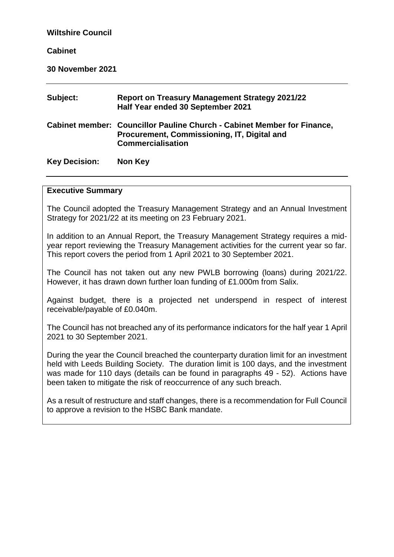| <b>Wiltshire Council</b> |                                                                                                                                                    |  |  |  |  |  |
|--------------------------|----------------------------------------------------------------------------------------------------------------------------------------------------|--|--|--|--|--|
| <b>Cabinet</b>           |                                                                                                                                                    |  |  |  |  |  |
| <b>30 November 2021</b>  |                                                                                                                                                    |  |  |  |  |  |
| Subject:                 | <b>Report on Treasury Management Strategy 2021/22</b><br>Half Year ended 30 September 2021                                                         |  |  |  |  |  |
|                          | Cabinet member: Councillor Pauline Church - Cabinet Member for Finance,<br>Procurement, Commissioning, IT, Digital and<br><b>Commercialisation</b> |  |  |  |  |  |
| <b>Key Decision:</b>     | Non Key                                                                                                                                            |  |  |  |  |  |

#### **Executive Summary**

The Council adopted the Treasury Management Strategy and an Annual Investment Strategy for 2021/22 at its meeting on 23 February 2021.

In addition to an Annual Report, the Treasury Management Strategy requires a midyear report reviewing the Treasury Management activities for the current year so far. This report covers the period from 1 April 2021 to 30 September 2021.

The Council has not taken out any new PWLB borrowing (loans) during 2021/22. However, it has drawn down further loan funding of £1.000m from Salix.

Against budget, there is a projected net underspend in respect of interest receivable/payable of £0.040m.

The Council has not breached any of its performance indicators for the half year 1 April 2021 to 30 September 2021.

During the year the Council breached the counterparty duration limit for an investment held with Leeds Building Society. The duration limit is 100 days, and the investment was made for 110 days (details can be found in paragraphs 49 - 52). Actions have been taken to mitigate the risk of reoccurrence of any such breach.

As a result of restructure and staff changes, there is a recommendation for Full Council to approve a revision to the HSBC Bank mandate.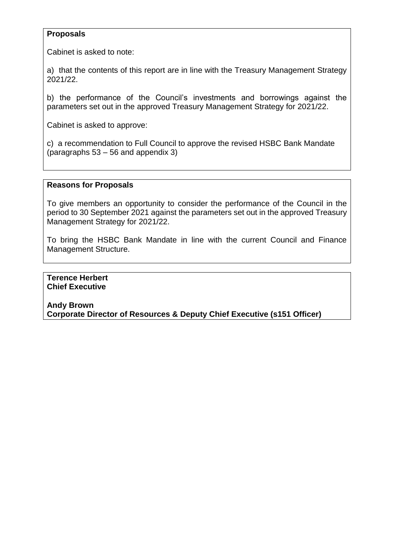## **Proposals**

Cabinet is asked to note:

a) that the contents of this report are in line with the Treasury Management Strategy 2021/22.

b) the performance of the Council's investments and borrowings against the parameters set out in the approved Treasury Management Strategy for 2021/22.

Cabinet is asked to approve:

c) a recommendation to Full Council to approve the revised HSBC Bank Mandate (paragraphs 53 – 56 and appendix 3)

## **Reasons for Proposals**

To give members an opportunity to consider the performance of the Council in the period to 30 September 2021 against the parameters set out in the approved Treasury Management Strategy for 2021/22.

To bring the HSBC Bank Mandate in line with the current Council and Finance Management Structure.

**Terence Herbert Chief Executive**

**Andy Brown Corporate Director of Resources & Deputy Chief Executive (s151 Officer)**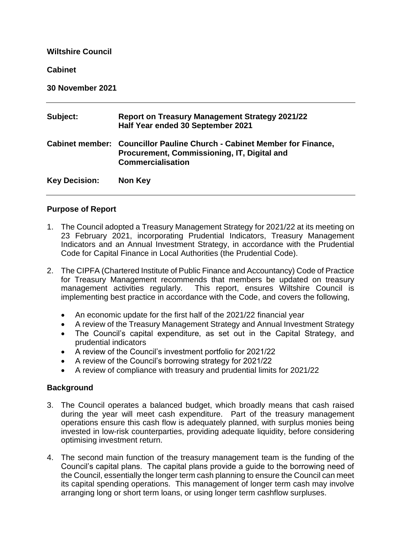#### **Wiltshire Council**

#### **Cabinet**

**30 November 2021**

| Subject:             | <b>Report on Treasury Management Strategy 2021/22</b><br>Half Year ended 30 September 2021                                                                |
|----------------------|-----------------------------------------------------------------------------------------------------------------------------------------------------------|
|                      | <b>Cabinet member: Councillor Pauline Church - Cabinet Member for Finance,</b><br>Procurement, Commissioning, IT, Digital and<br><b>Commercialisation</b> |
| <b>Key Decision:</b> | Non Key                                                                                                                                                   |

## **Purpose of Report**

- 1. The Council adopted a Treasury Management Strategy for 2021/22 at its meeting on 23 February 2021, incorporating Prudential Indicators, Treasury Management Indicators and an Annual Investment Strategy, in accordance with the Prudential Code for Capital Finance in Local Authorities (the Prudential Code).
- 2. The CIPFA (Chartered Institute of Public Finance and Accountancy) Code of Practice for Treasury Management recommends that members be updated on treasury management activities regularly. This report, ensures Wiltshire Council is implementing best practice in accordance with the Code, and covers the following,
	- An economic update for the first half of the 2021/22 financial year
	- A review of the Treasury Management Strategy and Annual Investment Strategy
	- The Council's capital expenditure, as set out in the Capital Strategy, and prudential indicators
	- A review of the Council's investment portfolio for 2021/22
	- A review of the Council's borrowing strategy for 2021/22
	- A review of compliance with treasury and prudential limits for 2021/22

## **Background**

- 3. The Council operates a balanced budget, which broadly means that cash raised during the year will meet cash expenditure. Part of the treasury management operations ensure this cash flow is adequately planned, with surplus monies being invested in low-risk counterparties, providing adequate liquidity, before considering optimising investment return.
- 4. The second main function of the treasury management team is the funding of the Council's capital plans. The capital plans provide a guide to the borrowing need of the Council, essentially the longer term cash planning to ensure the Council can meet its capital spending operations. This management of longer term cash may involve arranging long or short term loans, or using longer term cashflow surpluses.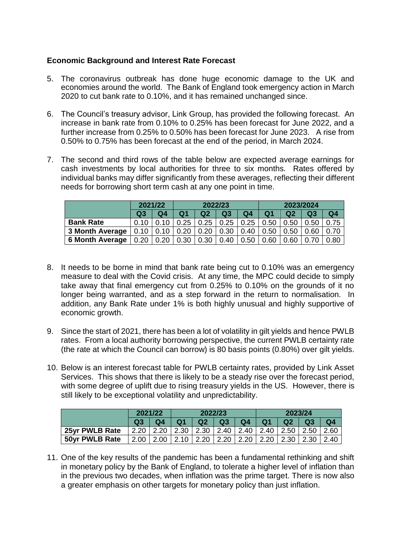## **Economic Background and Interest Rate Forecast**

- 5. The coronavirus outbreak has done huge economic damage to the UK and economies around the world. The Bank of England took emergency action in March 2020 to cut bank rate to 0.10%, and it has remained unchanged since.
- 6. The Council's treasury advisor, Link Group, has provided the following forecast. An increase in bank rate from 0.10% to 0.25% has been forecast for June 2022, and a further increase from 0.25% to 0.50% has been forecast for June 2023. A rise from 0.50% to 0.75% has been forecast at the end of the period, in March 2024.
- 7. The second and third rows of the table below are expected average earnings for cash investments by local authorities for three to six months. Rates offered by individual banks may differ significantly from these averages, reflecting their different needs for borrowing short term cash at any one point in time.

|                        | 2021/22        |                | 2022/23        |                |                    | 2023/2024          |                |                |                |                |
|------------------------|----------------|----------------|----------------|----------------|--------------------|--------------------|----------------|----------------|----------------|----------------|
|                        | Q <sub>3</sub> | Q <sub>4</sub> | Q <sub>1</sub> | Q <sub>2</sub> | Q <sub>3</sub>     | Q <sub>4</sub>     | Q <sub>1</sub> | Q <sub>2</sub> | Q <sub>3</sub> | Q <sub>4</sub> |
| <b>Bank Rate</b>       | 0.10           | 0.10           | 0.25           | 0.25           | $\vert 0.25 \vert$ | $\vert 0.25 \vert$ | 0.50           | 0.50           | 0.50           | 0.75           |
| <b>3 Month Average</b> |                | $0.10$ 0.10    | 0.20           | 0.20           | 0.30               | 0.40               | 0.50           | 0.50           | 0.60           | 0.70           |
| <b>6 Month Average</b> | 0.20           | 0.20           | 0.30           | 0.30           | 0.40               | 0.50               | 0.60           | 0.60           | 0.70           | 0.80           |

- 8. It needs to be borne in mind that bank rate being cut to 0.10% was an emergency measure to deal with the Covid crisis. At any time, the MPC could decide to simply take away that final emergency cut from 0.25% to 0.10% on the grounds of it no longer being warranted, and as a step forward in the return to normalisation. In addition, any Bank Rate under 1% is both highly unusual and highly supportive of economic growth.
- 9. Since the start of 2021, there has been a lot of volatility in gilt yields and hence PWLB rates. From a local authority borrowing perspective, the current PWLB certainty rate (the rate at which the Council can borrow) is 80 basis points (0.80%) over gilt yields.
- 10. Below is an interest forecast table for PWLB certainty rates, provided by Link Asset Services. This shows that there is likely to be a steady rise over the forecast period, with some degree of uplift due to rising treasury yields in the US. However, there is still likely to be exceptional volatility and unpredictability.

|                | 2021/22 |                              | 2022/23        |                                     |                | 2023/24                                        |                      |                |                |        |
|----------------|---------|------------------------------|----------------|-------------------------------------|----------------|------------------------------------------------|----------------------|----------------|----------------|--------|
|                | Q3      | Q4                           | Q <sub>1</sub> | Q <sub>2</sub>                      | Q <sub>3</sub> | Q <sub>4</sub>                                 | Q <sub>1</sub>       | Q <sub>2</sub> | Q <sub>3</sub> | Q4     |
| 25yr PWLB Rate | 2.20    | $^{\circ}$ l 2.20 $_{\rm L}$ |                |                                     |                | 2.30   2.30   2.40   2.40   2.40   2.50   2.50 |                      |                |                | -2.60  |
| 50yr PWLB Rate | 2.00    | 2.00                         | 2.10           | $\begin{array}{c} \end{array}$ 2.20 | $\vert$ 2.20   | 2.20                                           | $\vert$ 2.20 $\vert$ | 2.30 2.30      |                | ∣ 2.40 |

11. One of the key results of the pandemic has been a fundamental rethinking and shift in monetary policy by the Bank of England, to tolerate a higher level of inflation than in the previous two decades, when inflation was the prime target. There is now also a greater emphasis on other targets for monetary policy than just inflation.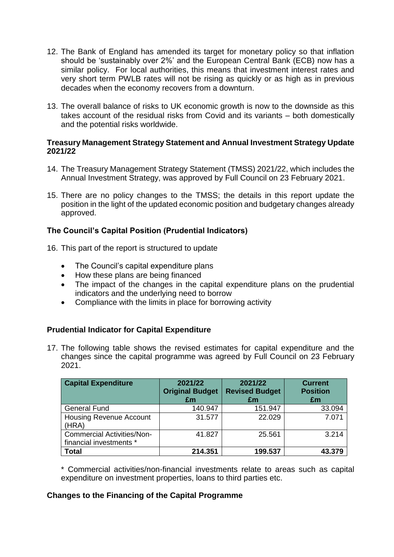- 12. The Bank of England has amended its target for monetary policy so that inflation should be 'sustainably over 2%' and the European Central Bank (ECB) now has a similar policy. For local authorities, this means that investment interest rates and very short term PWLB rates will not be rising as quickly or as high as in previous decades when the economy recovers from a downturn.
- 13. The overall balance of risks to UK economic growth is now to the downside as this takes account of the residual risks from Covid and its variants – both domestically and the potential risks worldwide.

#### **Treasury Management Strategy Statement and Annual Investment Strategy Update 2021/22**

- 14. The Treasury Management Strategy Statement (TMSS) 2021/22, which includes the Annual Investment Strategy, was approved by Full Council on 23 February 2021.
- 15. There are no policy changes to the TMSS; the details in this report update the position in the light of the updated economic position and budgetary changes already approved.

## **The Council's Capital Position (Prudential Indicators)**

- 16. This part of the report is structured to update
	- The Council's capital expenditure plans
	- How these plans are being financed
	- The impact of the changes in the capital expenditure plans on the prudential indicators and the underlying need to borrow
	- Compliance with the limits in place for borrowing activity

## **Prudential Indicator for Capital Expenditure**

17. The following table shows the revised estimates for capital expenditure and the changes since the capital programme was agreed by Full Council on 23 February 2021.

| <b>Capital Expenditure</b>                                   | 2021/22<br><b>Original Budget</b><br>£m | 2021/22<br><b>Revised Budget</b><br>£m | <b>Current</b><br><b>Position</b><br>£m |
|--------------------------------------------------------------|-----------------------------------------|----------------------------------------|-----------------------------------------|
| <b>General Fund</b>                                          | 140.947                                 | 151.947                                | 33.094                                  |
| <b>Housing Revenue Account</b><br>(HRA)                      | 31.577                                  | 22.029                                 | 7.071                                   |
| <b>Commercial Activities/Non-</b><br>financial investments * | 41.827                                  | 25.561                                 | 3.214                                   |
| <b>Total</b>                                                 | 214.351                                 | 199.537                                | 43.379                                  |

\* Commercial activities/non-financial investments relate to areas such as capital expenditure on investment properties, loans to third parties etc.

## **Changes to the Financing of the Capital Programme**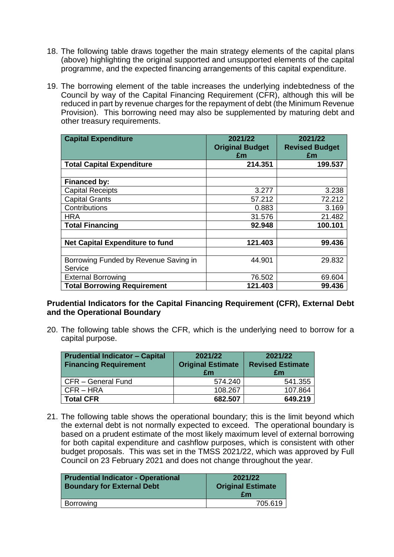- 18. The following table draws together the main strategy elements of the capital plans (above) highlighting the original supported and unsupported elements of the capital programme, and the expected financing arrangements of this capital expenditure.
- 19. The borrowing element of the table increases the underlying indebtedness of the Council by way of the Capital Financing Requirement (CFR), although this will be reduced in part by revenue charges for the repayment of debt (the Minimum Revenue Provision). This borrowing need may also be supplemented by maturing debt and other treasury requirements.

| <b>Capital Expenditure</b>             | 2021/22<br><b>Original Budget</b> | 2021/22<br><b>Revised Budget</b> |
|----------------------------------------|-----------------------------------|----------------------------------|
|                                        | £m                                | £m                               |
| <b>Total Capital Expenditure</b>       | 214.351                           | 199.537                          |
|                                        |                                   |                                  |
| <b>Financed by:</b>                    |                                   |                                  |
| <b>Capital Receipts</b>                | 3.277                             | 3.238                            |
| <b>Capital Grants</b>                  | 57.212                            | 72.212                           |
| Contributions                          | 0.883                             | 3.169                            |
| <b>HRA</b>                             | 31.576                            | 21.482                           |
| <b>Total Financing</b>                 | 92.948                            | 100.101                          |
|                                        |                                   |                                  |
| <b>Net Capital Expenditure to fund</b> | 121.403                           | 99.436                           |
|                                        |                                   |                                  |
| Borrowing Funded by Revenue Saving in  | 44.901                            | 29.832                           |
| Service                                |                                   |                                  |
| <b>External Borrowing</b>              | 76.502                            | 69.604                           |
| <b>Total Borrowing Requirement</b>     | 121.403                           | 99.436                           |

## **Prudential Indicators for the Capital Financing Requirement (CFR), External Debt and the Operational Boundary**

20. The following table shows the CFR, which is the underlying need to borrow for a capital purpose.

| <b>Prudential Indicator - Capital</b><br><b>Financing Requirement</b> | 2021/22<br><b>Original Estimate</b><br>£m | 2021/22<br><b>Revised Estimate</b><br>£m |
|-----------------------------------------------------------------------|-------------------------------------------|------------------------------------------|
| CFR - General Fund                                                    | 574.240                                   | 541.355                                  |
| CFR-HRA                                                               | 108.267                                   | 107.864                                  |
| <b>Total CFR</b>                                                      | 682.507                                   | 649.219                                  |

21. The following table shows the operational boundary; this is the limit beyond which the external debt is not normally expected to exceed. The operational boundary is based on a prudent estimate of the most likely maximum level of external borrowing for both capital expenditure and cashflow purposes, which is consistent with other budget proposals. This was set in the TMSS 2021/22, which was approved by Full Council on 23 February 2021 and does not change throughout the year.

| <b>Prudential Indicator - Operational</b><br><b>Boundary for External Debt</b> | 2021/22<br><b>Original Estimate</b><br>£m |
|--------------------------------------------------------------------------------|-------------------------------------------|
| <b>Borrowing</b>                                                               | 705.619                                   |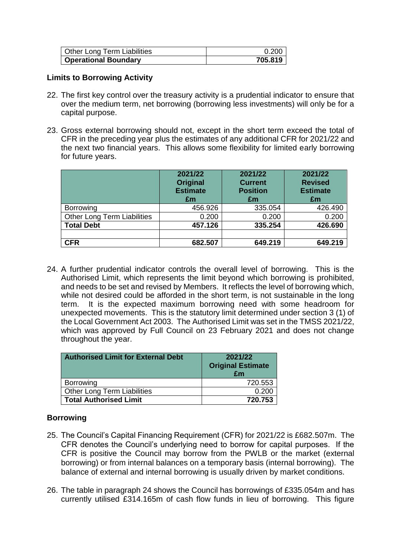| Other Long Term Liabilities | 0.20C   |
|-----------------------------|---------|
| Operational Boundary        | 705.819 |

## **Limits to Borrowing Activity**

- 22. The first key control over the treasury activity is a prudential indicator to ensure that over the medium term, net borrowing (borrowing less investments) will only be for a capital purpose.
- 23. Gross external borrowing should not, except in the short term exceed the total of CFR in the preceding year plus the estimates of any additional CFR for 2021/22 and the next two financial years. This allows some flexibility for limited early borrowing for future years.

|                                    | 2021/22<br><b>Original</b><br><b>Estimate</b><br>£m | 2021/22<br><b>Current</b><br><b>Position</b><br>£m | 2021/22<br><b>Revised</b><br><b>Estimate</b><br>£m |
|------------------------------------|-----------------------------------------------------|----------------------------------------------------|----------------------------------------------------|
| <b>Borrowing</b>                   | 456.926                                             | 335.054                                            | 426.490                                            |
| <b>Other Long Term Liabilities</b> | 0.200                                               | 0.200                                              | 0.200                                              |
| <b>Total Debt</b>                  | 457.126                                             | 335.254                                            | 426.690                                            |
|                                    |                                                     |                                                    |                                                    |
| <b>CFR</b>                         | 682.507                                             | 649.219                                            | 649.219                                            |

24. A further prudential indicator controls the overall level of borrowing. This is the Authorised Limit, which represents the limit beyond which borrowing is prohibited, and needs to be set and revised by Members. It reflects the level of borrowing which, while not desired could be afforded in the short term, is not sustainable in the long term. It is the expected maximum borrowing need with some headroom for unexpected movements. This is the statutory limit determined under section 3 (1) of the Local Government Act 2003. The Authorised Limit was set in the TMSS 2021/22, which was approved by Full Council on 23 February 2021 and does not change throughout the year.

| <b>Authorised Limit for External Debt</b> | 2021/22<br><b>Original Estimate</b><br>£m |
|-------------------------------------------|-------------------------------------------|
| <b>Borrowing</b>                          | 720.553                                   |
| Other Long Term Liabilities               | 0.200                                     |
| <b>Total Authorised Limit</b>             | 720.753                                   |

## **Borrowing**

- 25. The Council's Capital Financing Requirement (CFR) for 2021/22 is £682.507m. The CFR denotes the Council's underlying need to borrow for capital purposes. If the CFR is positive the Council may borrow from the PWLB or the market (external borrowing) or from internal balances on a temporary basis (internal borrowing). The balance of external and internal borrowing is usually driven by market conditions.
- 26. The table in paragraph 24 shows the Council has borrowings of £335.054m and has currently utilised £314.165m of cash flow funds in lieu of borrowing. This figure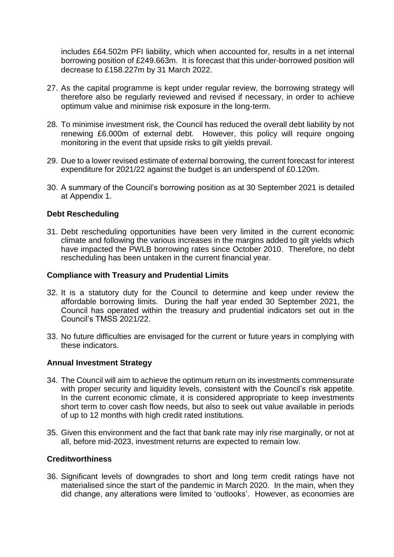includes £64.502m PFI liability, which when accounted for, results in a net internal borrowing position of £249.663m. It is forecast that this under-borrowed position will decrease to £158.227m by 31 March 2022.

- 27. As the capital programme is kept under regular review, the borrowing strategy will therefore also be regularly reviewed and revised if necessary, in order to achieve optimum value and minimise risk exposure in the long-term.
- 28. To minimise investment risk, the Council has reduced the overall debt liability by not renewing £6.000m of external debt. However, this policy will require ongoing monitoring in the event that upside risks to gilt yields prevail.
- 29. Due to a lower revised estimate of external borrowing, the current forecast for interest expenditure for 2021/22 against the budget is an underspend of £0.120m.
- 30. A summary of the Council's borrowing position as at 30 September 2021 is detailed at Appendix 1.

## **Debt Rescheduling**

31. Debt rescheduling opportunities have been very limited in the current economic climate and following the various increases in the margins added to gilt yields which have impacted the PWLB borrowing rates since October 2010. Therefore, no debt rescheduling has been untaken in the current financial year.

## **Compliance with Treasury and Prudential Limits**

- 32. It is a statutory duty for the Council to determine and keep under review the affordable borrowing limits. During the half year ended 30 September 2021, the Council has operated within the treasury and prudential indicators set out in the Council's TMSS 2021/22.
- 33. No future difficulties are envisaged for the current or future years in complying with these indicators.

## **Annual Investment Strategy**

- 34. The Council will aim to achieve the optimum return on its investments commensurate with proper security and liquidity levels, consistent with the Council's risk appetite. In the current economic climate, it is considered appropriate to keep investments short term to cover cash flow needs, but also to seek out value available in periods of up to 12 months with high credit rated institutions.
- 35. Given this environment and the fact that bank rate may inly rise marginally, or not at all, before mid-2023, investment returns are expected to remain low.

## **Creditworthiness**

36. Significant levels of downgrades to short and long term credit ratings have not materialised since the start of the pandemic in March 2020. In the main, when they did change, any alterations were limited to 'outlooks'. However, as economies are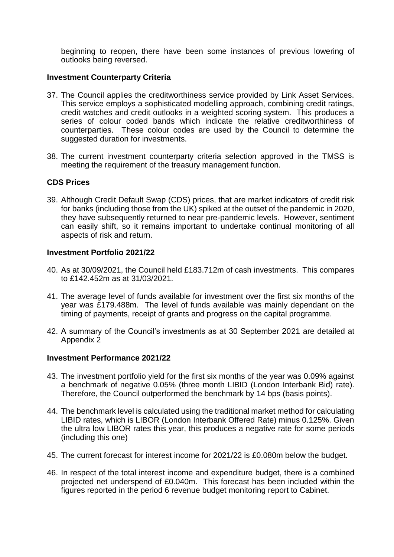beginning to reopen, there have been some instances of previous lowering of outlooks being reversed.

#### **Investment Counterparty Criteria**

- 37. The Council applies the creditworthiness service provided by Link Asset Services. This service employs a sophisticated modelling approach, combining credit ratings, credit watches and credit outlooks in a weighted scoring system. This produces a series of colour coded bands which indicate the relative creditworthiness of counterparties. These colour codes are used by the Council to determine the suggested duration for investments.
- 38. The current investment counterparty criteria selection approved in the TMSS is meeting the requirement of the treasury management function.

#### **CDS Prices**

39. Although Credit Default Swap (CDS) prices, that are market indicators of credit risk for banks (including those from the UK) spiked at the outset of the pandemic in 2020, they have subsequently returned to near pre-pandemic levels. However, sentiment can easily shift, so it remains important to undertake continual monitoring of all aspects of risk and return.

#### **Investment Portfolio 2021/22**

- 40. As at 30/09/2021, the Council held £183.712m of cash investments. This compares to £142.452m as at 31/03/2021.
- 41. The average level of funds available for investment over the first six months of the year was £179.488m. The level of funds available was mainly dependant on the timing of payments, receipt of grants and progress on the capital programme.
- 42. A summary of the Council's investments as at 30 September 2021 are detailed at Appendix 2

#### **Investment Performance 2021/22**

- 43. The investment portfolio yield for the first six months of the year was 0.09% against a benchmark of negative 0.05% (three month LIBID (London Interbank Bid) rate). Therefore, the Council outperformed the benchmark by 14 bps (basis points).
- 44. The benchmark level is calculated using the traditional market method for calculating LIBID rates, which is LIBOR (London Interbank Offered Rate) minus 0.125%. Given the ultra low LIBOR rates this year, this produces a negative rate for some periods (including this one)
- 45. The current forecast for interest income for 2021/22 is £0.080m below the budget.
- 46. In respect of the total interest income and expenditure budget, there is a combined projected net underspend of £0.040m. This forecast has been included within the figures reported in the period 6 revenue budget monitoring report to Cabinet.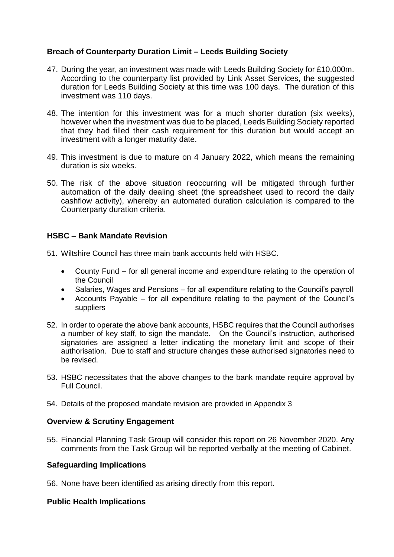## **Breach of Counterparty Duration Limit – Leeds Building Society**

- 47. During the year, an investment was made with Leeds Building Society for £10.000m. According to the counterparty list provided by Link Asset Services, the suggested duration for Leeds Building Society at this time was 100 days. The duration of this investment was 110 days.
- 48. The intention for this investment was for a much shorter duration (six weeks), however when the investment was due to be placed, Leeds Building Society reported that they had filled their cash requirement for this duration but would accept an investment with a longer maturity date.
- 49. This investment is due to mature on 4 January 2022, which means the remaining duration is six weeks.
- 50. The risk of the above situation reoccurring will be mitigated through further automation of the daily dealing sheet (the spreadsheet used to record the daily cashflow activity), whereby an automated duration calculation is compared to the Counterparty duration criteria.

## **HSBC – Bank Mandate Revision**

- 51. Wiltshire Council has three main bank accounts held with HSBC.
	- County Fund for all general income and expenditure relating to the operation of the Council
	- Salaries, Wages and Pensions for all expenditure relating to the Council's payroll
	- Accounts Payable for all expenditure relating to the payment of the Council's suppliers
- 52. In order to operate the above bank accounts, HSBC requires that the Council authorises a number of key staff, to sign the mandate. On the Council's instruction, authorised signatories are assigned a letter indicating the monetary limit and scope of their authorisation. Due to staff and structure changes these authorised signatories need to be revised.
- 53. HSBC necessitates that the above changes to the bank mandate require approval by Full Council.
- 54. Details of the proposed mandate revision are provided in Appendix 3

## **Overview & Scrutiny Engagement**

55. Financial Planning Task Group will consider this report on 26 November 2020. Any comments from the Task Group will be reported verbally at the meeting of Cabinet.

#### **Safeguarding Implications**

56. None have been identified as arising directly from this report.

## **Public Health Implications**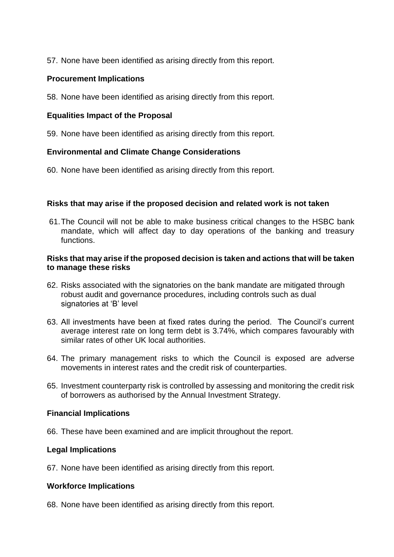57. None have been identified as arising directly from this report.

## **Procurement Implications**

58. None have been identified as arising directly from this report.

## **Equalities Impact of the Proposal**

59. None have been identified as arising directly from this report.

## **Environmental and Climate Change Considerations**

60. None have been identified as arising directly from this report.

## **Risks that may arise if the proposed decision and related work is not taken**

61.The Council will not be able to make business critical changes to the HSBC bank mandate, which will affect day to day operations of the banking and treasury functions.

#### **Risks that may arise if the proposed decision is taken and actions that will be taken to manage these risks**

- 62. Risks associated with the signatories on the bank mandate are mitigated through robust audit and governance procedures, including controls such as dual signatories at 'B' level
- 63. All investments have been at fixed rates during the period. The Council's current average interest rate on long term debt is 3.74%, which compares favourably with similar rates of other UK local authorities.
- 64. The primary management risks to which the Council is exposed are adverse movements in interest rates and the credit risk of counterparties.
- 65. Investment counterparty risk is controlled by assessing and monitoring the credit risk of borrowers as authorised by the Annual Investment Strategy.

## **Financial Implications**

66. These have been examined and are implicit throughout the report.

## **Legal Implications**

67. None have been identified as arising directly from this report.

#### **Workforce Implications**

68. None have been identified as arising directly from this report.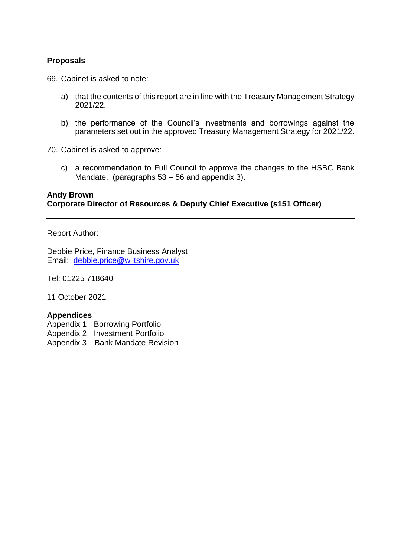## **Proposals**

69. Cabinet is asked to note:

- a) that the contents of this report are in line with the Treasury Management Strategy 2021/22.
- b) the performance of the Council's investments and borrowings against the parameters set out in the approved Treasury Management Strategy for 2021/22.
- 70. Cabinet is asked to approve:
	- c) a recommendation to Full Council to approve the changes to the HSBC Bank Mandate. (paragraphs 53 – 56 and appendix 3).

## **Andy Brown Corporate Director of Resources & Deputy Chief Executive (s151 Officer)**

#### Report Author:

Debbie Price, Finance Business Analyst Email: [debbie.price@wiltshire.](mailto:debbie.price@wiltshire)gov.uk

Tel: 01225 718640

11 October 2021

## **Appendices**

- Appendix 1 Borrowing Portfolio
- Appendix 2 Investment Portfolio
- Appendix 3 Bank Mandate Revision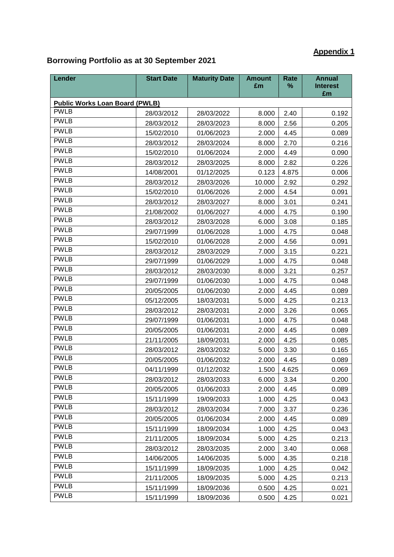# **Appendix 1**

## **Borrowing Portfolio as at 30 September 2021**

| Lender                                | <b>Start Date</b> | <b>Maturity Date</b> | <b>Amount</b><br>£m | <b>Rate</b><br>% | <b>Annual</b><br><b>Interest</b><br>£m |
|---------------------------------------|-------------------|----------------------|---------------------|------------------|----------------------------------------|
| <b>Public Works Loan Board (PWLB)</b> |                   |                      |                     |                  |                                        |
| <b>PWLB</b>                           | 28/03/2012        | 28/03/2022           | 8.000               | 2.40             | 0.192                                  |
| <b>PWLB</b>                           | 28/03/2012        | 28/03/2023           | 8.000               | 2.56             | 0.205                                  |
| <b>PWLB</b>                           | 15/02/2010        | 01/06/2023           | 2.000               | 4.45             | 0.089                                  |
| <b>PWLB</b>                           | 28/03/2012        | 28/03/2024           | 8.000               | 2.70             | 0.216                                  |
| <b>PWLB</b>                           | 15/02/2010        | 01/06/2024           | 2.000               | 4.49             | 0.090                                  |
| <b>PWLB</b>                           | 28/03/2012        | 28/03/2025           | 8.000               | 2.82             | 0.226                                  |
| <b>PWLB</b>                           | 14/08/2001        | 01/12/2025           | 0.123               | 4.875            | 0.006                                  |
| <b>PWLB</b>                           | 28/03/2012        | 28/03/2026           | 10.000              | 2.92             | 0.292                                  |
| <b>PWLB</b>                           | 15/02/2010        | 01/06/2026           | 2.000               | 4.54             | 0.091                                  |
| <b>PWLB</b>                           | 28/03/2012        | 28/03/2027           | 8.000               | 3.01             | 0.241                                  |
| <b>PWLB</b>                           | 21/08/2002        | 01/06/2027           | 4.000               | 4.75             | 0.190                                  |
| <b>PWLB</b>                           | 28/03/2012        | 28/03/2028           | 6.000               | 3.08             | 0.185                                  |
| <b>PWLB</b>                           | 29/07/1999        | 01/06/2028           | 1.000               | 4.75             | 0.048                                  |
| <b>PWLB</b>                           | 15/02/2010        | 01/06/2028           | 2.000               | 4.56             | 0.091                                  |
| <b>PWLB</b>                           | 28/03/2012        | 28/03/2029           | 7.000               | 3.15             | 0.221                                  |
| <b>PWLB</b>                           | 29/07/1999        | 01/06/2029           | 1.000               | 4.75             | 0.048                                  |
| <b>PWLB</b>                           | 28/03/2012        | 28/03/2030           | 8.000               | 3.21             | 0.257                                  |
| <b>PWLB</b>                           | 29/07/1999        | 01/06/2030           | 1.000               | 4.75             | 0.048                                  |
| <b>PWLB</b>                           | 20/05/2005        | 01/06/2030           | 2.000               | 4.45             | 0.089                                  |
| <b>PWLB</b>                           | 05/12/2005        | 18/03/2031           | 5.000               | 4.25             | 0.213                                  |
| <b>PWLB</b>                           | 28/03/2012        | 28/03/2031           | 2.000               | 3.26             | 0.065                                  |
| <b>PWLB</b>                           | 29/07/1999        | 01/06/2031           | 1.000               | 4.75             | 0.048                                  |
| <b>PWLB</b>                           | 20/05/2005        | 01/06/2031           | 2.000               | 4.45             | 0.089                                  |
| <b>PWLB</b>                           | 21/11/2005        | 18/09/2031           | 2.000               | 4.25             | 0.085                                  |
| <b>PWLB</b>                           | 28/03/2012        | 28/03/2032           | 5.000               | 3.30             | 0.165                                  |
| <b>PWLB</b>                           | 20/05/2005        | 01/06/2032           | 2.000               | 4.45             | 0.089                                  |
| <b>PWLB</b>                           | 04/11/1999        | 01/12/2032           | 1.500               | 4.625            | 0.069                                  |
| <b>PWLB</b>                           | 28/03/2012        | 28/03/2033           | 6.000               | 3.34             | 0.200                                  |
| <b>PWLB</b>                           | 20/05/2005        | 01/06/2033           | 2.000               | 4.45             | 0.089                                  |
| <b>PWLB</b>                           | 15/11/1999        | 19/09/2033           | 1.000               | 4.25             | 0.043                                  |
| <b>PWLB</b>                           | 28/03/2012        | 28/03/2034           | 7.000               | 3.37             | 0.236                                  |
| <b>PWLB</b>                           | 20/05/2005        | 01/06/2034           | 2.000               | 4.45             | 0.089                                  |
| <b>PWLB</b>                           | 15/11/1999        | 18/09/2034           | 1.000               | 4.25             | 0.043                                  |
| <b>PWLB</b>                           | 21/11/2005        | 18/09/2034           | 5.000               | 4.25             | 0.213                                  |
| <b>PWLB</b>                           | 28/03/2012        | 28/03/2035           | 2.000               | 3.40             | 0.068                                  |
| <b>PWLB</b>                           | 14/06/2005        | 14/06/2035           | 5.000               | 4.35             | 0.218                                  |
| <b>PWLB</b>                           | 15/11/1999        | 18/09/2035           | 1.000               | 4.25             | 0.042                                  |
| <b>PWLB</b>                           | 21/11/2005        | 18/09/2035           | 5.000               | 4.25             | 0.213                                  |
| <b>PWLB</b>                           | 15/11/1999        | 18/09/2036           | 0.500               | 4.25             | 0.021                                  |
| <b>PWLB</b>                           | 15/11/1999        | 18/09/2036           | 0.500               | 4.25             | 0.021                                  |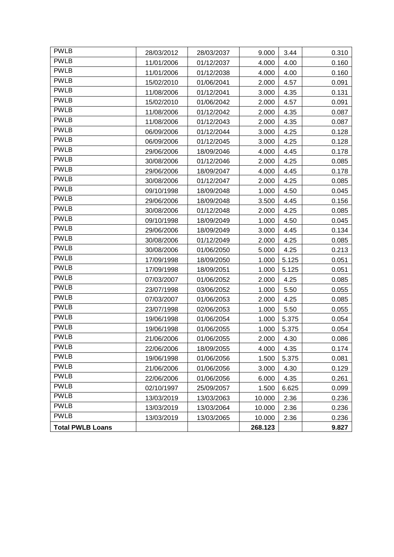| <b>PWLB</b>             | 28/03/2012 | 28/03/2037 | 9.000   | 3.44  | 0.310 |
|-------------------------|------------|------------|---------|-------|-------|
| <b>PWLB</b>             | 11/01/2006 | 01/12/2037 | 4.000   | 4.00  | 0.160 |
| <b>PWLB</b>             | 11/01/2006 | 01/12/2038 | 4.000   | 4.00  | 0.160 |
| <b>PWLB</b>             | 15/02/2010 | 01/06/2041 | 2.000   | 4.57  | 0.091 |
| <b>PWLB</b>             | 11/08/2006 | 01/12/2041 | 3.000   | 4.35  | 0.131 |
| <b>PWLB</b>             | 15/02/2010 | 01/06/2042 | 2.000   | 4.57  | 0.091 |
| <b>PWLB</b>             | 11/08/2006 | 01/12/2042 | 2.000   | 4.35  | 0.087 |
| <b>PWLB</b>             | 11/08/2006 | 01/12/2043 | 2.000   | 4.35  | 0.087 |
| <b>PWLB</b>             | 06/09/2006 | 01/12/2044 | 3.000   | 4.25  | 0.128 |
| <b>PWLB</b>             | 06/09/2006 | 01/12/2045 | 3.000   | 4.25  | 0.128 |
| <b>PWLB</b>             | 29/06/2006 | 18/09/2046 | 4.000   | 4.45  | 0.178 |
| <b>PWLB</b>             | 30/08/2006 | 01/12/2046 | 2.000   | 4.25  | 0.085 |
| <b>PWLB</b>             | 29/06/2006 | 18/09/2047 | 4.000   | 4.45  | 0.178 |
| <b>PWLB</b>             | 30/08/2006 | 01/12/2047 | 2.000   | 4.25  | 0.085 |
| <b>PWLB</b>             | 09/10/1998 | 18/09/2048 | 1.000   | 4.50  | 0.045 |
| <b>PWLB</b>             | 29/06/2006 | 18/09/2048 | 3.500   | 4.45  | 0.156 |
| <b>PWLB</b>             | 30/08/2006 | 01/12/2048 | 2.000   | 4.25  | 0.085 |
| <b>PWLB</b>             | 09/10/1998 | 18/09/2049 | 1.000   | 4.50  | 0.045 |
| <b>PWLB</b>             | 29/06/2006 | 18/09/2049 | 3.000   | 4.45  | 0.134 |
| <b>PWLB</b>             | 30/08/2006 | 01/12/2049 | 2.000   | 4.25  | 0.085 |
| <b>PWLB</b>             | 30/08/2006 | 01/06/2050 | 5.000   | 4.25  | 0.213 |
| <b>PWLB</b>             | 17/09/1998 | 18/09/2050 | 1.000   | 5.125 | 0.051 |
| <b>PWLB</b>             | 17/09/1998 | 18/09/2051 | 1.000   | 5.125 | 0.051 |
| <b>PWLB</b>             | 07/03/2007 | 01/06/2052 | 2.000   | 4.25  | 0.085 |
| <b>PWLB</b>             | 23/07/1998 | 03/06/2052 | 1.000   | 5.50  | 0.055 |
| <b>PWLB</b>             | 07/03/2007 | 01/06/2053 | 2.000   | 4.25  | 0.085 |
| <b>PWLB</b>             | 23/07/1998 | 02/06/2053 | 1.000   | 5.50  | 0.055 |
| <b>PWLB</b>             | 19/06/1998 | 01/06/2054 | 1.000   | 5.375 | 0.054 |
| <b>PWLB</b>             | 19/06/1998 | 01/06/2055 | 1.000   | 5.375 | 0.054 |
| <b>PWLB</b>             | 21/06/2006 | 01/06/2055 | 2.000   | 4.30  | 0.086 |
| <b>PWLB</b>             | 22/06/2006 | 18/09/2055 | 4.000   | 4.35  | 0.174 |
| <b>PWLB</b>             | 19/06/1998 | 01/06/2056 | 1.500   | 5.375 | 0.081 |
| <b>PWLB</b>             | 21/06/2006 | 01/06/2056 | 3.000   | 4.30  | 0.129 |
| <b>PWLB</b>             | 22/06/2006 | 01/06/2056 | 6.000   | 4.35  | 0.261 |
| <b>PWLB</b>             | 02/10/1997 | 25/09/2057 | 1.500   | 6.625 | 0.099 |
| <b>PWLB</b>             | 13/03/2019 | 13/03/2063 | 10.000  | 2.36  | 0.236 |
| <b>PWLB</b>             | 13/03/2019 | 13/03/2064 | 10.000  | 2.36  | 0.236 |
| <b>PWLB</b>             | 13/03/2019 | 13/03/2065 | 10.000  | 2.36  | 0.236 |
| <b>Total PWLB Loans</b> |            |            | 268.123 |       | 9.827 |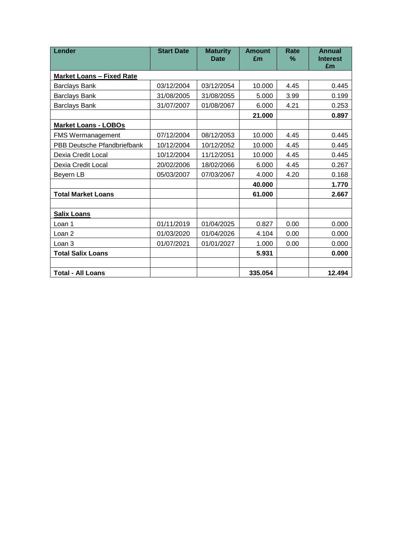| Lender                           | <b>Start Date</b> | <b>Maturity</b><br><b>Date</b> | <b>Amount</b><br>£m | Rate<br>% | <b>Annual</b><br><b>Interest</b><br>£m |
|----------------------------------|-------------------|--------------------------------|---------------------|-----------|----------------------------------------|
| <b>Market Loans - Fixed Rate</b> |                   |                                |                     |           |                                        |
| <b>Barclays Bank</b>             | 03/12/2004        | 03/12/2054                     | 10.000              | 4.45      | 0.445                                  |
| <b>Barclays Bank</b>             | 31/08/2005        | 31/08/2055                     | 5.000               | 3.99      | 0.199                                  |
| <b>Barclays Bank</b>             | 31/07/2007        | 01/08/2067                     | 6.000               | 4.21      | 0.253                                  |
|                                  |                   |                                | 21.000              |           | 0.897                                  |
| <b>Market Loans - LOBOs</b>      |                   |                                |                     |           |                                        |
| <b>FMS Wermanagement</b>         | 07/12/2004        | 08/12/2053                     | 10.000              | 4.45      | 0.445                                  |
| PBB Deutsche Pfandbriefbank      | 10/12/2004        | 10/12/2052                     | 10.000              | 4.45      | 0.445                                  |
| Dexia Credit Local               | 10/12/2004        | 11/12/2051                     | 10.000              | 4.45      | 0.445                                  |
| Dexia Credit Local               | 20/02/2006        | 18/02/2066                     | 6.000               | 4.45      | 0.267                                  |
| Beyern LB                        | 05/03/2007        | 07/03/2067                     | 4.000               | 4.20      | 0.168                                  |
|                                  |                   |                                | 40.000              |           | 1.770                                  |
| <b>Total Market Loans</b>        |                   |                                | 61.000              |           | 2.667                                  |
|                                  |                   |                                |                     |           |                                        |
| <b>Salix Loans</b>               |                   |                                |                     |           |                                        |
| Loan 1                           | 01/11/2019        | 01/04/2025                     | 0.827               | 0.00      | 0.000                                  |
| Loan <sub>2</sub>                | 01/03/2020        | 01/04/2026                     | 4.104               | 0.00      | 0.000                                  |
| Loan 3                           | 01/07/2021        | 01/01/2027                     | 1.000               | 0.00      | 0.000                                  |
| <b>Total Salix Loans</b>         |                   |                                | 5.931               |           | 0.000                                  |
|                                  |                   |                                |                     |           |                                        |
| <b>Total - All Loans</b>         |                   |                                | 335.054             |           | 12.494                                 |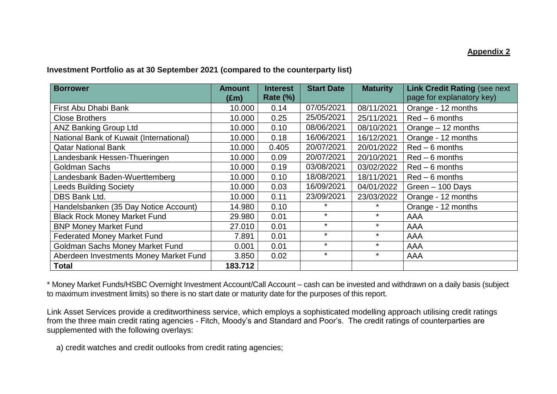## **Appendix 2**

## **Investment Portfolio as at 30 September 2021 (compared to the counterparty list)**

| <b>Borrower</b>                         | <b>Amount</b><br>(£m) | <b>Interest</b><br><b>Rate (%)</b> | <b>Start Date</b> | <b>Maturity</b> | <b>Link Credit Rating (see next)</b><br>page for explanatory key) |
|-----------------------------------------|-----------------------|------------------------------------|-------------------|-----------------|-------------------------------------------------------------------|
| First Abu Dhabi Bank                    | 10.000                | 0.14                               | 07/05/2021        | 08/11/2021      | Orange - 12 months                                                |
| <b>Close Brothers</b>                   | 10.000                | 0.25                               | 25/05/2021        | 25/11/2021      | $Red-6$ months                                                    |
| <b>ANZ Banking Group Ltd</b>            | 10.000                | 0.10                               | 08/06/2021        | 08/10/2021      | Orange - 12 months                                                |
| National Bank of Kuwait (International) | 10.000                | 0.18                               | 16/06/2021        | 16/12/2021      | Orange - 12 months                                                |
| <b>Qatar National Bank</b>              | 10.000                | 0.405                              | 20/07/2021        | 20/01/2022      | $Red-6$ months                                                    |
| Landesbank Hessen-Thueringen            | 10.000                | 0.09                               | 20/07/2021        | 20/10/2021      | $Red-6$ months                                                    |
| <b>Goldman Sachs</b>                    | 10.000                | 0.19                               | 03/08/2021        | 03/02/2022      | $Red-6$ months                                                    |
| Landesbank Baden-Wuerttemberg           | 10.000                | 0.10                               | 18/08/2021        | 18/11/2021      | $Red-6$ months                                                    |
| <b>Leeds Building Society</b>           | 10.000                | 0.03                               | 16/09/2021        | 04/01/2022      | Green - 100 Days                                                  |
| DBS Bank Ltd.                           | 10.000                | 0.11                               | 23/09/2021        | 23/03/2022      | Orange - 12 months                                                |
| Handelsbanken (35 Day Notice Account)   | 14.980                | 0.10                               | $\star$           | $\star$         | Orange - 12 months                                                |
| <b>Black Rock Money Market Fund</b>     | 29.980                | 0.01                               | $\star$           | $\star$         | <b>AAA</b>                                                        |
| <b>BNP Money Market Fund</b>            | 27.010                | 0.01                               | $\star$           | $\star$         | <b>AAA</b>                                                        |
| <b>Federated Money Market Fund</b>      | 7.891                 | 0.01                               | $\star$           | $\star$         | AAA                                                               |
| Goldman Sachs Money Market Fund         | 0.001                 | 0.01                               | $\star$           | $\star$         | AAA                                                               |
| Aberdeen Investments Money Market Fund  | 3.850                 | 0.02                               | $\star$           | $\star$         | AAA                                                               |
| <b>Total</b>                            | 183.712               |                                    |                   |                 |                                                                   |

\* Money Market Funds/HSBC Overnight Investment Account/Call Account – cash can be invested and withdrawn on a daily basis (subject to maximum investment limits) so there is no start date or maturity date for the purposes of this report.

Link Asset Services provide a creditworthiness service, which employs a sophisticated modelling approach utilising credit ratings from the three main credit rating agencies - Fitch, Moody's and Standard and Poor's. The credit ratings of counterparties are supplemented with the following overlays:

a) credit watches and credit outlooks from credit rating agencies;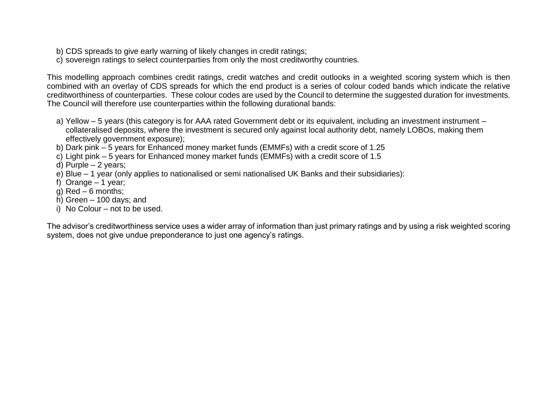- b) CDS spreads to give early warning of likely changes in credit ratings;
- c) sovereign ratings to select counterparties from only the most creditworthy countries.

This modelling approach combines credit ratings, credit watches and credit outlooks in a weighted scoring system which is then combined with an overlay of CDS spreads for which the end product is a series of colour coded bands which indicate the relative creditworthiness of counterparties. These colour codes are used by the Council to determine the suggested duration for investments. The Council will therefore use counterparties within the following durational bands:

- a) Yellow 5 years (this category is for AAA rated Government debt or its equivalent, including an investment instrument collateralised deposits, where the investment is secured only against local authority debt, namely LOBOs, making them effectively government exposure);
- b) Dark pink 5 years for Enhanced money market funds (EMMFs) with a credit score of 1.25
- c) Light pink 5 years for Enhanced money market funds (EMMFs) with a credit score of 1.5
- d) Purple 2 years;
- e) Blue 1 year (only applies to nationalised or semi nationalised UK Banks and their subsidiaries):
- f) Orange 1 year:
- g) Red 6 months;
- h) Green 100 days; and
- i) No Colour not to be used.

The advisor's creditworthiness service uses a wider array of information than just primary ratings and by using a risk weighted scoring system, does not give undue preponderance to just one agency's ratings.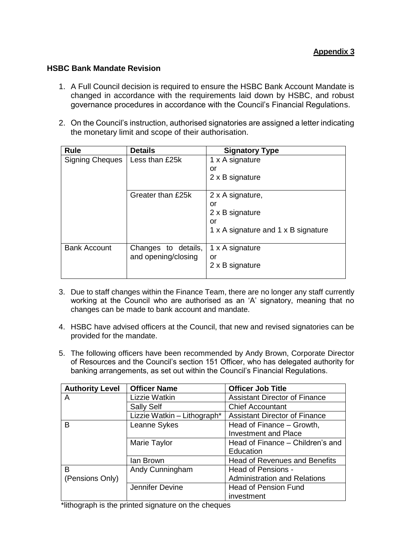## **HSBC Bank Mandate Revision**

- 1. A Full Council decision is required to ensure the HSBC Bank Account Mandate is changed in accordance with the requirements laid down by HSBC, and robust governance procedures in accordance with the Council's Financial Regulations.
- 2. On the Council's instruction, authorised signatories are assigned a letter indicating the monetary limit and scope of their authorisation.

| <b>Rule</b>            | <b>Details</b>      | <b>Signatory Type</b>               |
|------------------------|---------------------|-------------------------------------|
| <b>Signing Cheques</b> | Less than £25k      | 1 x A signature                     |
|                        |                     | or                                  |
|                        |                     | 2 x B signature                     |
|                        |                     |                                     |
|                        | Greater than £25k   | 2 x A signature,                    |
|                        |                     | or                                  |
|                        |                     | 2 x B signature                     |
|                        |                     | or                                  |
|                        |                     | 1 x A signature and 1 x B signature |
|                        |                     |                                     |
| <b>Bank Account</b>    | Changes to details, | 1 x A signature                     |
|                        | and opening/closing | or                                  |
|                        |                     | 2 x B signature                     |
|                        |                     |                                     |

- 3. Due to staff changes within the Finance Team, there are no longer any staff currently working at the Council who are authorised as an 'A' signatory, meaning that no changes can be made to bank account and mandate.
- 4. HSBC have advised officers at the Council, that new and revised signatories can be provided for the mandate.
- 5. The following officers have been recommended by Andy Brown, Corporate Director of Resources and the Council's section 151 Officer, who has delegated authority for banking arrangements, as set out within the Council's Financial Regulations.

| <b>Authority Level</b> | <b>Officer Name</b>         | <b>Officer Job Title</b>             |
|------------------------|-----------------------------|--------------------------------------|
| A                      | Lizzie Watkin               | <b>Assistant Director of Finance</b> |
|                        | <b>Sally Self</b>           | <b>Chief Accountant</b>              |
|                        | Lizzie Watkin - Lithograph* | <b>Assistant Director of Finance</b> |
| B                      | Leanne Sykes                | Head of Finance – Growth,            |
|                        |                             | <b>Investment and Place</b>          |
|                        | Marie Taylor                | Head of Finance - Children's and     |
|                        |                             | Education                            |
|                        | lan Brown                   | <b>Head of Revenues and Benefits</b> |
| B                      | Andy Cunningham             | Head of Pensions -                   |
| (Pensions Only)        |                             | <b>Administration and Relations</b>  |
|                        | Jennifer Devine             | <b>Head of Pension Fund</b>          |
|                        |                             | investment                           |

\*lithograph is the printed signature on the cheques